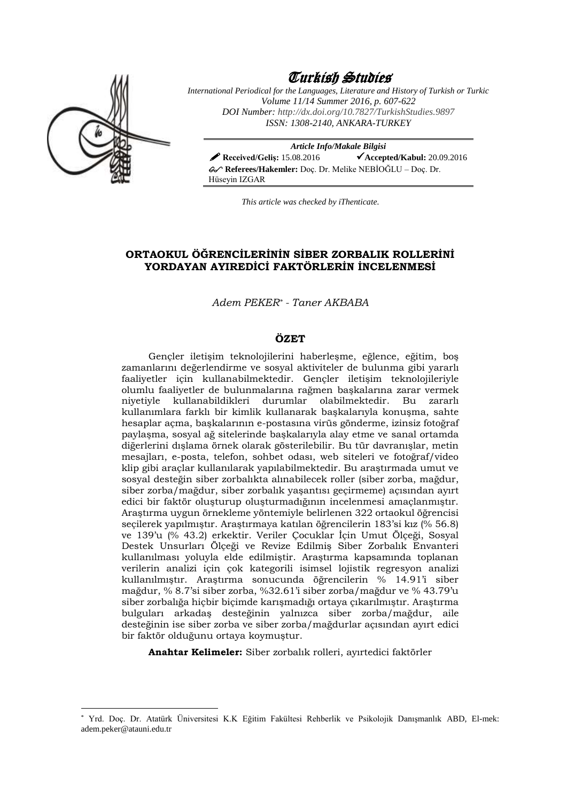

1

# Turkish Studies

*International Periodical for the Languages, Literature and History of Turkish or Turkic Volume 11/14 Summer 2016, p. 607-622 DOI Number[: http://dx.doi.org/10.7827/TurkishStudies.9](http://dx.doi.org/10.7827/TurkishStudies.)897 ISSN: 1308-2140, ANKARA-TURKEY*

*Article Info/Makale Bilgisi A* Received/Gelis: 15.08.2016 **Accepted/Kabul:** 20.09.2016 **Referees/Hakemler:** Doç. Dr. Melike NEBİOĞLU – Doç. Dr. Hüseyin IZGAR

*This article was checked by iThenticate.*

# **ORTAOKUL ÖĞRENCİLERİNİN SİBER ZORBALIK ROLLERİNİ YORDAYAN AYIREDİCİ FAKTÖRLERİN İNCELENMESİ**

*Adem PEKER\* - Taner AKBABA*

### **ÖZET**

Gençler iletişim teknolojilerini haberleşme, eğlence, eğitim, boş zamanlarını değerlendirme ve sosyal aktiviteler de bulunma gibi yararlı faaliyetler için kullanabilmektedir. Gençler iletişim teknolojileriyle olumlu faaliyetler de bulunmalarına rağmen başkalarına zarar vermek niyetiyle kullanabildikleri durumlar olabilmektedir. Bu zararlı kullanımlara farklı bir kimlik kullanarak başkalarıyla konuşma, sahte hesaplar açma, başkalarının e-postasına virüs gönderme, izinsiz fotoğraf paylaşma, sosyal ağ sitelerinde başkalarıyla alay etme ve sanal ortamda diğerlerini dışlama örnek olarak gösterilebilir. Bu tür davranışlar, metin mesajları, e-posta, telefon, sohbet odası, web siteleri ve fotoğraf/video klip gibi araçlar kullanılarak yapılabilmektedir. Bu araştırmada umut ve sosyal desteğin siber zorbalıkta alınabilecek roller (siber zorba, mağdur, siber zorba/mağdur, siber zorbalık yaşantısı geçirmeme) açısından ayırt edici bir faktör oluşturup oluşturmadığının incelenmesi amaçlanmıştır. Araştırma uygun örnekleme yöntemiyle belirlenen 322 ortaokul öğrencisi seçilerek yapılmıştır. Araştırmaya katılan öğrencilerin 183'si kız (% 56.8) ve 139'u (% 43.2) erkektir. Veriler Çocuklar İçin Umut Ölçeği, Sosyal Destek Unsurları Ölçeği ve Revize Edilmiş Siber Zorbalık Envanteri kullanılması yoluyla elde edilmiştir. Araştırma kapsamında toplanan verilerin analizi için çok kategorili isimsel lojistik regresyon analizi kullanılmıştır. Araştırma sonucunda öğrencilerin % 14.91'i siber mağdur, % 8.7'si siber zorba, %32.61'i siber zorba/mağdur ve % 43.79'u siber zorbalığa hiçbir biçimde karışmadığı ortaya çıkarılmıştır. Araştırma bulguları arkadaş desteğinin yalnızca siber zorba/mağdur, aile desteğinin ise siber zorba ve siber zorba/mağdurlar açısından ayırt edici bir faktör olduğunu ortaya koymuştur.

**Anahtar Kelimeler:** Siber zorbalık rolleri, ayırtedici faktörler

<sup>\*</sup> Yrd. Doç. Dr. Atatürk Üniversitesi K.K Eğitim Fakültesi Rehberlik ve Psikolojik Danışmanlık ABD, El-mek: adem.peker@atauni.edu.tr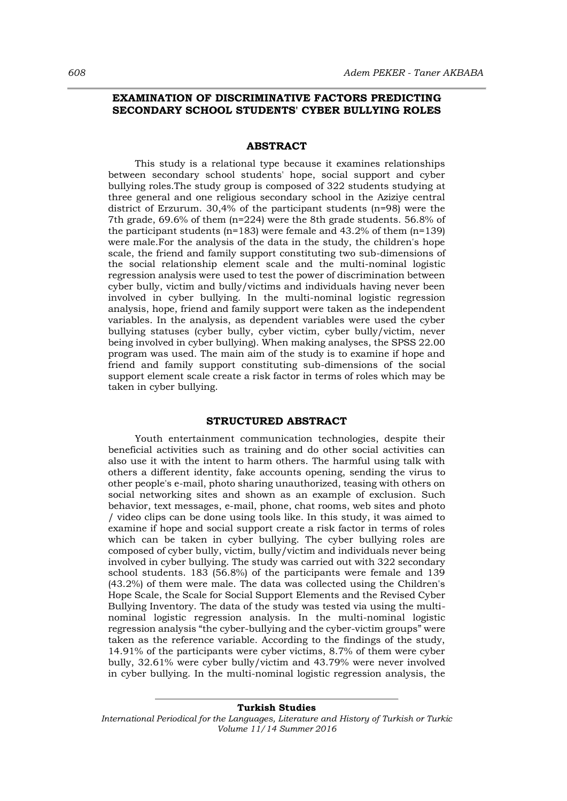### **EXAMINATION OF DISCRIMINATIVE FACTORS PREDICTING SECONDARY SCHOOL STUDENTS' CYBER BULLYING ROLES**

### **ABSTRACT**

This study is a relational type because it examines relationships between secondary school students' hope, social support and cyber bullying roles.The study group is composed of 322 students studying at three general and one religious secondary school in the Aziziye central district of Erzurum. 30,4% of the participant students (n=98) were the 7th grade, 69.6% of them (n=224) were the 8th grade students. 56.8% of the participant students ( $n=183$ ) were female and 43.2% of them ( $n=139$ ) were male.For the analysis of the data in the study, the children's hope scale, the friend and family support constituting two sub-dimensions of the social relationship element scale and the multi-nominal logistic regression analysis were used to test the power of discrimination between cyber bully, victim and bully/victims and individuals having never been involved in cyber bullying. In the multi-nominal logistic regression analysis, hope, friend and family support were taken as the independent variables. In the analysis, as dependent variables were used the cyber bullying statuses (cyber bully, cyber victim, cyber bully/victim, never being involved in cyber bullying). When making analyses, the SPSS 22.00 program was used. The main aim of the study is to examine if hope and friend and family support constituting sub-dimensions of the social support element scale create a risk factor in terms of roles which may be taken in cyber bullying.

### **STRUCTURED ABSTRACT**

Youth entertainment communication technologies, despite their beneficial activities such as training and do other social activities can also use it with the intent to harm others. The harmful using talk with others a different identity, fake accounts opening, sending the virus to other people's e-mail, photo sharing unauthorized, teasing with others on social networking sites and shown as an example of exclusion. Such behavior, text messages, e-mail, phone, chat rooms, web sites and photo / video clips can be done using tools like. In this study, it was aimed to examine if hope and social support create a risk factor in terms of roles which can be taken in cyber bullying. The cyber bullying roles are composed of cyber bully, victim, bully/victim and individuals never being involved in cyber bullying. The study was carried out with 322 secondary school students. 183 (56.8%) of the participants were female and 139 (43.2%) of them were male. The data was collected using the Children's Hope Scale, the Scale for Social Support Elements and the Revised Cyber Bullying Inventory. The data of the study was tested via using the multinominal logistic regression analysis. In the multi-nominal logistic regression analysis "the cyber-bullying and the cyber-victim groups" were taken as the reference variable. According to the findings of the study, 14.91% of the participants were cyber victims, 8.7% of them were cyber bully, 32.61% were cyber bully/victim and 43.79% were never involved in cyber bullying. In the multi-nominal logistic regression analysis, the

*International Periodical for the Languages, Literature and History of Turkish or Turkic Volume 11/14 Summer 2016*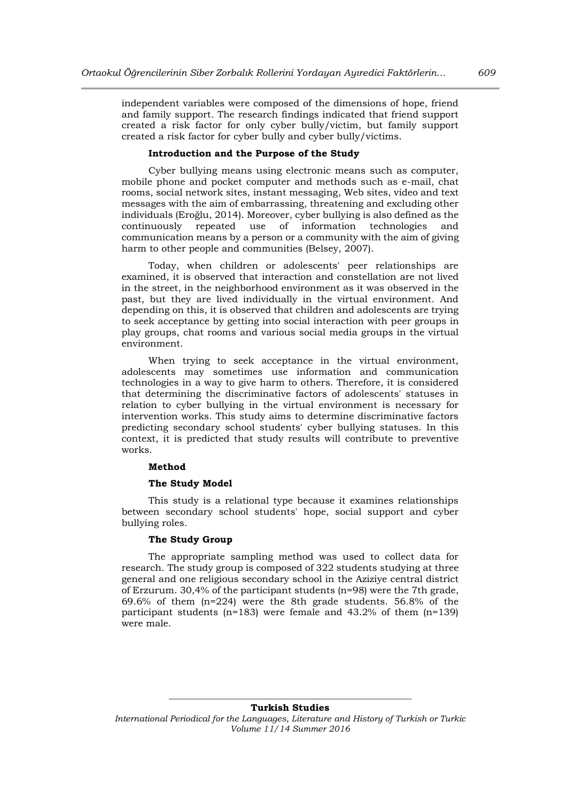independent variables were composed of the dimensions of hope, friend and family support. The research findings indicated that friend support created a risk factor for only cyber bully/victim, but family support created a risk factor for cyber bully and cyber bully/victims.

### **Introduction and the Purpose of the Study**

Cyber bullying means using electronic means such as computer, mobile phone and pocket computer and methods such as e-mail, chat rooms, social network sites, instant messaging, Web sites, video and text messages with the aim of embarrassing, threatening and excluding other individuals (Eroğlu, 2014). Moreover, cyber bullying is also defined as the continuously repeated use of information technologies and communication means by a person or a community with the aim of giving harm to other people and communities (Belsey, 2007).

Today, when children or adolescents' peer relationships are examined, it is observed that interaction and constellation are not lived in the street, in the neighborhood environment as it was observed in the past, but they are lived individually in the virtual environment. And depending on this, it is observed that children and adolescents are trying to seek acceptance by getting into social interaction with peer groups in play groups, chat rooms and various social media groups in the virtual environment.

When trying to seek acceptance in the virtual environment, adolescents may sometimes use information and communication technologies in a way to give harm to others. Therefore, it is considered that determining the discriminative factors of adolescents' statuses in relation to cyber bullying in the virtual environment is necessary for intervention works. This study aims to determine discriminative factors predicting secondary school students' cyber bullying statuses. In this context, it is predicted that study results will contribute to preventive works.

#### **Method**

### **The Study Model**

This study is a relational type because it examines relationships between secondary school students' hope, social support and cyber bullying roles.

#### **The Study Group**

The appropriate sampling method was used to collect data for research. The study group is composed of 322 students studying at three general and one religious secondary school in the Aziziye central district of Erzurum. 30,4% of the participant students (n=98) were the 7th grade, 69.6% of them (n=224) were the 8th grade students. 56.8% of the participant students (n=183) were female and 43.2% of them (n=139) were male.

*International Periodical for the Languages, Literature and History of Turkish or Turkic Volume 11/14 Summer 2016*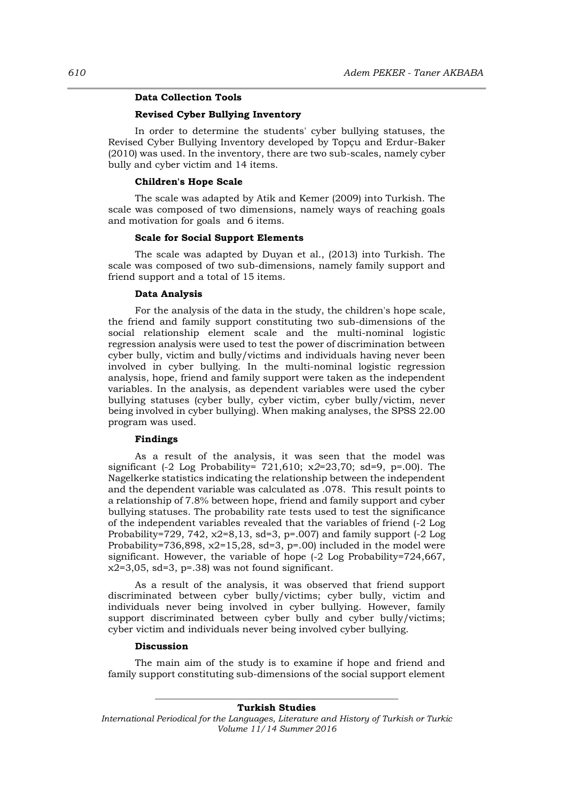### **Data Collection Tools**

# **Revised Cyber Bullying Inventory**

In order to determine the students' cyber bullying statuses, the Revised Cyber Bullying Inventory developed by Topçu and Erdur-Baker (2010) was used. In the inventory, there are two sub-scales, namely cyber bully and cyber victim and 14 items.

### **Children's Hope Scale**

The scale was adapted by Atik and Kemer (2009) into Turkish. The scale was composed of two dimensions, namely ways of reaching goals and motivation for goals and 6 items.

### **Scale for Social Support Elements**

The scale was adapted by Duyan et al., (2013) into Turkish. The scale was composed of two sub-dimensions, namely family support and friend support and a total of 15 items.

#### **Data Analysis**

For the analysis of the data in the study, the children's hope scale, the friend and family support constituting two sub-dimensions of the social relationship element scale and the multi-nominal logistic regression analysis were used to test the power of discrimination between cyber bully, victim and bully/victims and individuals having never been involved in cyber bullying. In the multi-nominal logistic regression analysis, hope, friend and family support were taken as the independent variables. In the analysis, as dependent variables were used the cyber bullying statuses (cyber bully, cyber victim, cyber bully/victim, never being involved in cyber bullying). When making analyses, the SPSS 22.00 program was used.

### **Findings**

As a result of the analysis, it was seen that the model was significant (-2 Log Probability= 721,610; χ*2*=23,70; sd=9, p=.00). The Nagelkerke statistics indicating the relationship between the independent and the dependent variable was calculated as .078. This result points to a relationship of 7.8% between hope, friend and family support and cyber bullying statuses. The probability rate tests used to test the significance of the independent variables revealed that the variables of friend (-2 Log Probability=729, 742, χ2=8,13, sd=3, p=.007) and family support (-2 Log Probability=736,898, x2=15,28, sd=3, p=.00) included in the model were significant. However, the variable of hope (-2 Log Probability=724,667,  $x2=3,05$ , sd=3, p=.38) was not found significant.

As a result of the analysis, it was observed that friend support discriminated between cyber bully/victims; cyber bully, victim and individuals never being involved in cyber bullying. However, family support discriminated between cyber bully and cyber bully/victims; cyber victim and individuals never being involved cyber bullying.

### **Discussion**

The main aim of the study is to examine if hope and friend and family support constituting sub-dimensions of the social support element

*International Periodical for the Languages, Literature and History of Turkish or Turkic Volume 11/14 Summer 2016*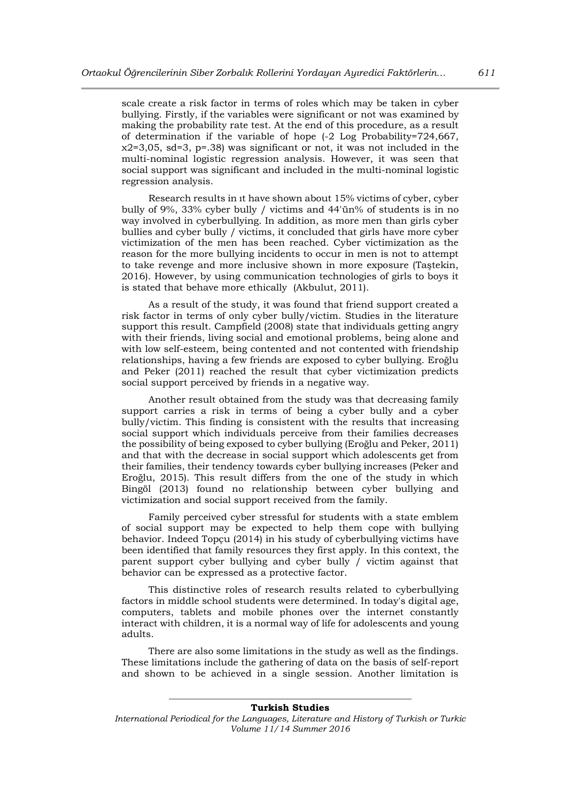scale create a risk factor in terms of roles which may be taken in cyber bullying. Firstly, if the variables were significant or not was examined by making the probability rate test. At the end of this procedure, as a result of determination if the variable of hope (-2 Log Probability=724,667, χ2=3,05, sd=3, p=.38) was significant or not, it was not included in the multi-nominal logistic regression analysis. However, it was seen that social support was significant and included in the multi-nominal logistic regression analysis.

Research results in ıt have shown about 15% victims of cyber, cyber bully of 9%, 33% cyber bully / victims and 44'ün% of students is in no way involved in cyberbullying. In addition, as more men than girls cyber bullies and cyber bully / victims, it concluded that girls have more cyber victimization of the men has been reached. Cyber victimization as the reason for the more bullying incidents to occur in men is not to attempt to take revenge and more inclusive shown in more exposure (Taştekin, 2016). However, by using communication technologies of girls to boys it is stated that behave more ethically (Akbulut, 2011).

As a result of the study, it was found that friend support created a risk factor in terms of only cyber bully/victim. Studies in the literature support this result. Campfield (2008) state that individuals getting angry with their friends, living social and emotional problems, being alone and with low self-esteem, being contented and not contented with friendship relationships, having a few friends are exposed to cyber bullying. Eroğlu and Peker (2011) reached the result that cyber victimization predicts social support perceived by friends in a negative way.

Another result obtained from the study was that decreasing family support carries a risk in terms of being a cyber bully and a cyber bully/victim. This finding is consistent with the results that increasing social support which individuals perceive from their families decreases the possibility of being exposed to cyber bullying (Eroğlu and Peker, 2011) and that with the decrease in social support which adolescents get from their families, their tendency towards cyber bullying increases (Peker and Eroğlu, 2015). This result differs from the one of the study in which Bingöl (2013) found no relationship between cyber bullying and victimization and social support received from the family.

Family perceived cyber stressful for students with a state emblem of social support may be expected to help them cope with bullying behavior. Indeed Topçu (2014) in his study of cyberbullying victims have been identified that family resources they first apply. In this context, the parent support cyber bullying and cyber bully / victim against that behavior can be expressed as a protective factor.

This distinctive roles of research results related to cyberbullying factors in middle school students were determined. In today's digital age, computers, tablets and mobile phones over the internet constantly interact with children, it is a normal way of life for adolescents and young adults.

There are also some limitations in the study as well as the findings. These limitations include the gathering of data on the basis of self-report and shown to be achieved in a single session. Another limitation is

*International Periodical for the Languages, Literature and History of Turkish or Turkic Volume 11/14 Summer 2016*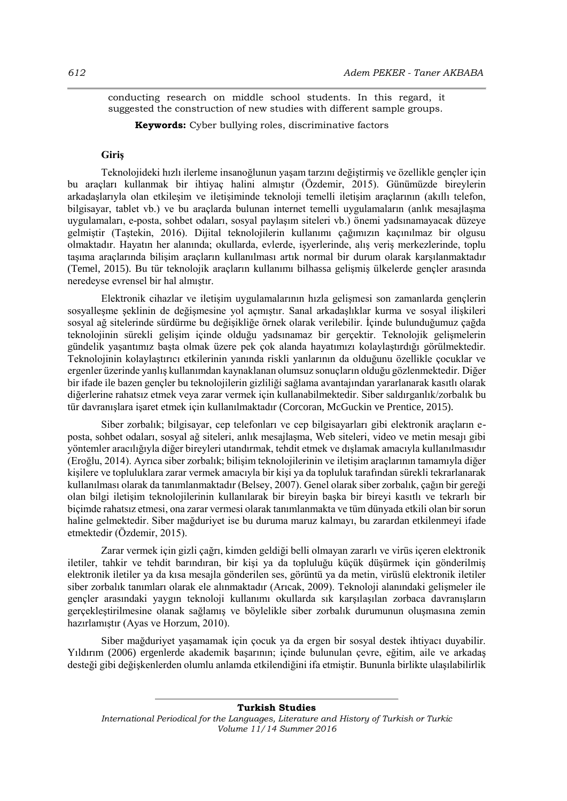conducting research on middle school students. In this regard, it suggested the construction of new studies with different sample groups.

**Keywords:** Cyber bullying roles, discriminative factors

# **Giriş**

Teknolojideki hızlı ilerleme insanoğlunun yaşam tarzını değiştirmiş ve özellikle gençler için bu araçları kullanmak bir ihtiyaç halini almıştır (Özdemir, 2015). Günümüzde bireylerin arkadaşlarıyla olan etkileşim ve iletişiminde teknoloji temelli iletişim araçlarının (akıllı telefon, bilgisayar, tablet vb.) ve bu araçlarda bulunan internet temelli uygulamaların (anlık mesajlaşma uygulamaları, e-posta, sohbet odaları, sosyal paylaşım siteleri vb.) önemi yadsınamayacak düzeye gelmiştir (Taştekin, 2016). Dijital teknolojilerin kullanımı çağımızın kaçınılmaz bir olgusu olmaktadır. Hayatın her alanında; okullarda, evlerde, işyerlerinde, alış veriş merkezlerinde, toplu taşıma araçlarında bilişim araçların kullanılması artık normal bir durum olarak karşılanmaktadır (Temel, 2015). Bu tür teknolojik araçların kullanımı bilhassa gelişmiş ülkelerde gençler arasında neredeyse evrensel bir hal almıştır.

Elektronik cihazlar ve iletişim uygulamalarının hızla gelişmesi son zamanlarda gençlerin sosyalleşme şeklinin de değişmesine yol açmıştır. Sanal arkadaşlıklar kurma ve sosyal ilişkileri sosyal ağ sitelerinde sürdürme bu değişikliğe örnek olarak verilebilir. İçinde bulunduğumuz çağda teknolojinin sürekli gelişim içinde olduğu yadsınamaz bir gerçektir. Teknolojik gelişmelerin gündelik yaşantımız başta olmak üzere pek çok alanda hayatımızı kolaylaştırdığı görülmektedir. Teknolojinin kolaylaştırıcı etkilerinin yanında riskli yanlarının da olduğunu özellikle çocuklar ve ergenler üzerinde yanlış kullanımdan kaynaklanan olumsuz sonuçların olduğu gözlenmektedir. Diğer bir ifade ile bazen gençler bu teknolojilerin gizliliği sağlama avantajından yararlanarak kasıtlı olarak diğerlerine rahatsız etmek veya zarar vermek için kullanabilmektedir. Siber saldırganlık/zorbalık bu tür davranışlara işaret etmek için kullanılmaktadır (Corcoran, McGuckin ve Prentice, 2015).

Siber zorbalık; bilgisayar, cep telefonları ve cep bilgisayarları gibi elektronik araçların eposta, sohbet odaları, sosyal ağ siteleri, anlık mesajlaşma, Web siteleri, video ve metin mesajı gibi yöntemler aracılığıyla diğer bireyleri utandırmak, tehdit etmek ve dışlamak amacıyla kullanılmasıdır (Eroğlu, 2014). Ayrıca siber zorbalık; bilişim teknolojilerinin ve iletişim araçlarının tamamıyla diğer kişilere ve topluluklara zarar vermek amacıyla bir kişi ya da topluluk tarafından sürekli tekrarlanarak kullanılması olarak da tanımlanmaktadır (Belsey, 2007). Genel olarak siber zorbalık, çağın bir gereği olan bilgi iletişim teknolojilerinin kullanılarak bir bireyin başka bir bireyi kasıtlı ve tekrarlı bir biçimde rahatsız etmesi, ona zarar vermesi olarak tanımlanmakta ve tüm dünyada etkili olan bir sorun haline gelmektedir. Siber mağduriyet ise bu duruma maruz kalmayı, bu zarardan etkilenmeyi ifade etmektedir (Özdemir, 2015).

Zarar vermek için gizli çağrı, kimden geldiği belli olmayan zararlı ve virüs içeren elektronik iletiler, tahkir ve tehdit barındıran, bir kişi ya da topluluğu küçük düşürmek için gönderilmiş elektronik iletiler ya da kısa mesajla gönderilen ses, görüntü ya da metin, virüslü elektronik iletiler siber zorbalık tanımları olarak ele alınmaktadır (Arıcak, 2009). Teknoloji alanındaki gelişmeler ile gençler arasındaki yaygın teknoloji kullanımı okullarda sık karşılaşılan zorbaca davranışların gerçekleştirilmesine olanak sağlamış ve böylelikle siber zorbalık durumunun oluşmasına zemin hazırlamıştır (Ayas ve Horzum, 2010).

Siber mağduriyet yaşamamak için çocuk ya da ergen bir sosyal destek ihtiyacı duyabilir. Yıldırım (2006) ergenlerde akademik başarının; içinde bulunulan çevre, eğitim, aile ve arkadaş desteği gibi değişkenlerden olumlu anlamda etkilendiğini ifa etmiştir. Bununla birlikte ulaşılabilirlik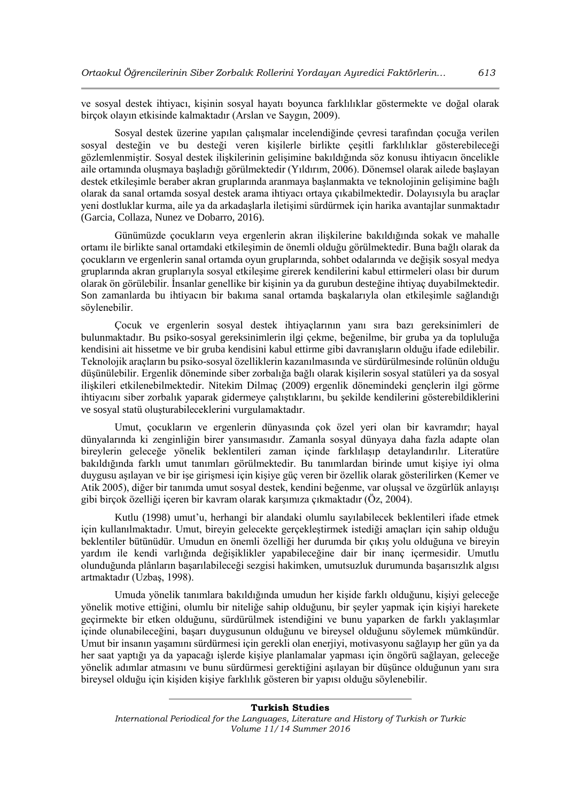ve sosyal destek ihtiyacı, kişinin sosyal hayatı boyunca farklılıklar göstermekte ve doğal olarak birçok olayın etkisinde kalmaktadır (Arslan ve Saygın, 2009).

Sosyal destek üzerine yapılan çalışmalar incelendiğinde çevresi tarafından çocuğa verilen sosyal desteğin ve bu desteği veren kişilerle birlikte çeşitli farklılıklar gösterebileceği gözlemlenmiştir. Sosyal destek ilişkilerinin gelişimine bakıldığında söz konusu ihtiyacın öncelikle aile ortamında oluşmaya başladığı görülmektedir (Yıldırım, 2006). Dönemsel olarak ailede başlayan destek etkileşimle beraber akran gruplarında aranmaya başlanmakta ve teknolojinin gelişimine bağlı olarak da sanal ortamda sosyal destek arama ihtiyacı ortaya çıkabilmektedir. Dolayısıyla bu araçlar yeni dostluklar kurma, aile ya da arkadaşlarla iletişimi sürdürmek için harika avantajlar sunmaktadır (Garcia, Collaza, Nunez ve Dobarro, 2016).

Günümüzde çocukların veya ergenlerin akran ilişkilerine bakıldığında sokak ve mahalle ortamı ile birlikte sanal ortamdaki etkileşimin de önemli olduğu görülmektedir. Buna bağlı olarak da çocukların ve ergenlerin sanal ortamda oyun gruplarında, sohbet odalarında ve değişik sosyal medya gruplarında akran gruplarıyla sosyal etkileşime girerek kendilerini kabul ettirmeleri olası bir durum olarak ön görülebilir. İnsanlar genellike bir kişinin ya da gurubun desteğine ihtiyaç duyabilmektedir. Son zamanlarda bu ihtiyacın bir bakıma sanal ortamda başkalarıyla olan etkileşimle sağlandığı söylenebilir.

Çocuk ve ergenlerin sosyal destek ihtiyaçlarının yanı sıra bazı gereksinimleri de bulunmaktadır. Bu psiko-sosyal gereksinimlerin ilgi çekme, beğenilme, bir gruba ya da topluluğa kendisini ait hissetme ve bir gruba kendisini kabul ettirme gibi davranışların olduğu ifade edilebilir. Teknolojik araçların bu psiko-sosyal özelliklerin kazanılmasında ve sürdürülmesinde rolünün olduğu düşünülebilir. Ergenlik döneminde siber zorbalığa bağlı olarak kişilerin sosyal statüleri ya da sosyal ilişkileri etkilenebilmektedir. Nitekim Dilmaç (2009) ergenlik dönemindeki gençlerin ilgi görme ihtiyacını siber zorbalık yaparak gidermeye çalıştıklarını, bu şekilde kendilerini gösterebildiklerini ve sosyal statü oluşturabileceklerini vurgulamaktadır.

Umut, çocukların ve ergenlerin dünyasında çok özel yeri olan bir kavramdır; hayal dünyalarında ki zenginliğin birer yansımasıdır. Zamanla sosyal dünyaya daha fazla adapte olan bireylerin geleceğe yönelik beklentileri zaman içinde farklılaşıp detaylandırılır. Literatüre bakıldığında farklı umut tanımları görülmektedir. Bu tanımlardan birinde umut kişiye iyi olma duygusu aşılayan ve bir işe girişmesi için kişiye güç veren bir özellik olarak gösterilirken (Kemer ve Atik 2005), diğer bir tanımda umut sosyal destek, kendini beğenme, var oluşsal ve özgürlük anlayışı gibi birçok özelliği içeren bir kavram olarak karşımıza çıkmaktadır (Öz, 2004).

Kutlu (1998) umut'u, herhangi bir alandaki olumlu sayılabilecek beklentileri ifade etmek için kullanılmaktadır. Umut, bireyin gelecekte gerçekleştirmek istediği amaçları için sahip olduğu beklentiler bütünüdür. Umudun en önemli özelliği her durumda bir çıkış yolu olduğuna ve bireyin yardım ile kendi varlığında değişiklikler yapabileceğine dair bir inanç içermesidir. Umutlu olunduğunda plânların başarılabileceği sezgisi hakimken, umutsuzluk durumunda başarısızlık algısı artmaktadır (Uzbaş, 1998).

Umuda yönelik tanımlara bakıldığında umudun her kişide farklı olduğunu, kişiyi geleceğe yönelik motive ettiğini, olumlu bir niteliğe sahip olduğunu, bir şeyler yapmak için kişiyi harekete geçirmekte bir etken olduğunu, sürdürülmek istendiğini ve bunu yaparken de farklı yaklaşımlar içinde olunabileceğini, başarı duygusunun olduğunu ve bireysel olduğunu söylemek mümkündür. Umut bir insanın yaşamını sürdürmesi için gerekli olan enerjiyi, motivasyonu sağlayıp her gün ya da her saat yaptığı ya da yapacağı işlerde kişiye planlamalar yapması için öngörü sağlayan, geleceğe yönelik adımlar atmasını ve bunu sürdürmesi gerektiğini aşılayan bir düşünce olduğunun yanı sıra bireysel olduğu için kişiden kişiye farklılık gösteren bir yapısı olduğu söylenebilir.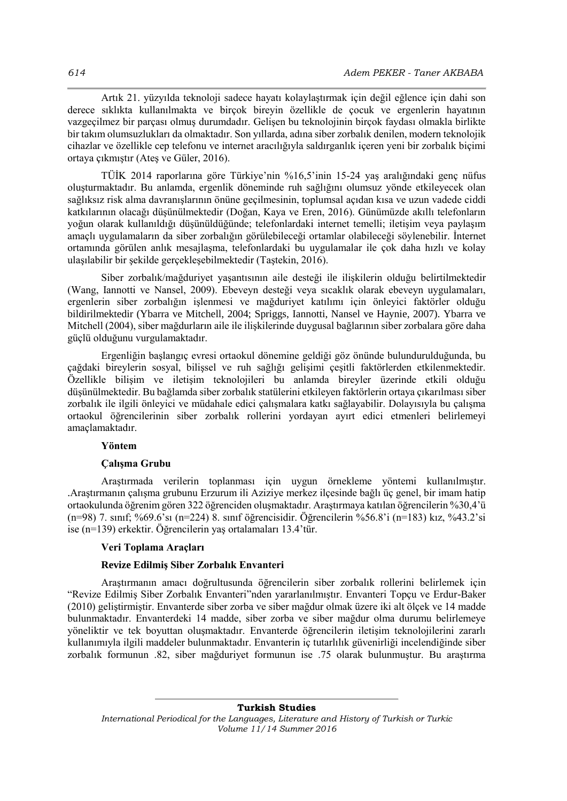Artık 21. yüzyılda teknoloji sadece hayatı kolaylaştırmak için değil eğlence için dahi son derece sıklıkta kullanılmakta ve birçok bireyin özellikle de çocuk ve ergenlerin hayatının vazgeçilmez bir parçası olmuş durumdadır. Gelişen bu teknolojinin birçok faydası olmakla birlikte bir takım olumsuzlukları da olmaktadır. Son yıllarda, adına siber zorbalık denilen, modern teknolojik cihazlar ve özellikle cep telefonu ve internet aracılığıyla saldırganlık içeren yeni bir zorbalık biçimi ortaya çıkmıştır (Ateş ve Güler, 2016).

TÜİK 2014 raporlarına göre Türkiye'nin %16,5'inin 15-24 yaş aralığındaki genç nüfus oluşturmaktadır. Bu anlamda, ergenlik döneminde ruh sağlığını olumsuz yönde etkileyecek olan sağlıksız risk alma davranışlarının önüne geçilmesinin, toplumsal açıdan kısa ve uzun vadede ciddi katkılarının olacağı düşünülmektedir (Doğan, Kaya ve Eren, 2016). Günümüzde akıllı telefonların yoğun olarak kullanıldığı düşünüldüğünde; telefonlardaki internet temelli; iletişim veya paylaşım amaçlı uygulamaların da siber zorbalığın görülebileceği ortamlar olabileceği söylenebilir. İnternet ortamında görülen anlık mesajlaşma, telefonlardaki bu uygulamalar ile çok daha hızlı ve kolay ulaşılabilir bir şekilde gerçekleşebilmektedir (Taştekin, 2016).

Siber zorbalık/mağduriyet yaşantısının aile desteği ile ilişkilerin olduğu belirtilmektedir (Wang, Iannotti ve Nansel, 2009). Ebeveyn desteği veya sıcaklık olarak ebeveyn uygulamaları, ergenlerin siber zorbalığın işlenmesi ve mağduriyet katılımı için önleyici faktörler olduğu bildirilmektedir (Ybarra ve Mitchell, 2004; Spriggs, Iannotti, Nansel ve Haynie, 2007). Ybarra ve Mitchell (2004), siber mağdurların aile ile ilişkilerinde duygusal bağlarının siber zorbalara göre daha güçlü olduğunu vurgulamaktadır.

Ergenliğin başlangıç evresi ortaokul dönemine geldiği göz önünde bulundurulduğunda, bu çağdaki bireylerin sosyal, bilişsel ve ruh sağlığı gelişimi çeşitli faktörlerden etkilenmektedir. Özellikle bilişim ve iletişim teknolojileri bu anlamda bireyler üzerinde etkili olduğu düşünülmektedir. Bu bağlamda siber zorbalık statülerini etkileyen faktörlerin ortaya çıkarılması siber zorbalık ile ilgili önleyici ve müdahale edici çalışmalara katkı sağlayabilir. Dolayısıyla bu çalışma ortaokul öğrencilerinin siber zorbalık rollerini yordayan ayırt edici etmenleri belirlemeyi amaçlamaktadır.

### **Yöntem**

#### **Çalışma Grubu**

Araştırmada verilerin toplanması için uygun örnekleme yöntemi kullanılmıştır. .Araştırmanın çalışma grubunu Erzurum ili Aziziye merkez ilçesinde bağlı üç genel, bir imam hatip ortaokulunda öğrenim gören 322 öğrenciden oluşmaktadır. Araştırmaya katılan öğrencilerin %30,4'ü (n=98) 7. sınıf; %69.6'sı (n=224) 8. sınıf öğrencisidir. Öğrencilerin %56.8'i (n=183) kız, %43.2'si ise (n=139) erkektir. Öğrencilerin yaş ortalamaları 13.4'tür.

### **Veri Toplama Araçları**

### **Revize Edilmiş Siber Zorbalık Envanteri**

Araştırmanın amacı doğrultusunda öğrencilerin siber zorbalık rollerini belirlemek için "Revize Edilmiş Siber Zorbalık Envanteri"nden yararlanılmıştır. Envanteri Topçu ve Erdur-Baker (2010) geliştirmiştir. Envanterde siber zorba ve siber mağdur olmak üzere iki alt ölçek ve 14 madde bulunmaktadır. Envanterdeki 14 madde, siber zorba ve siber mağdur olma durumu belirlemeye yöneliktir ve tek boyuttan oluşmaktadır. Envanterde öğrencilerin iletişim teknolojilerini zararlı kullanımıyla ilgili maddeler bulunmaktadır. Envanterin iç tutarlılık güvenirliği incelendiğinde siber zorbalık formunun .82, siber mağduriyet formunun ise .75 olarak bulunmuştur. Bu araştırma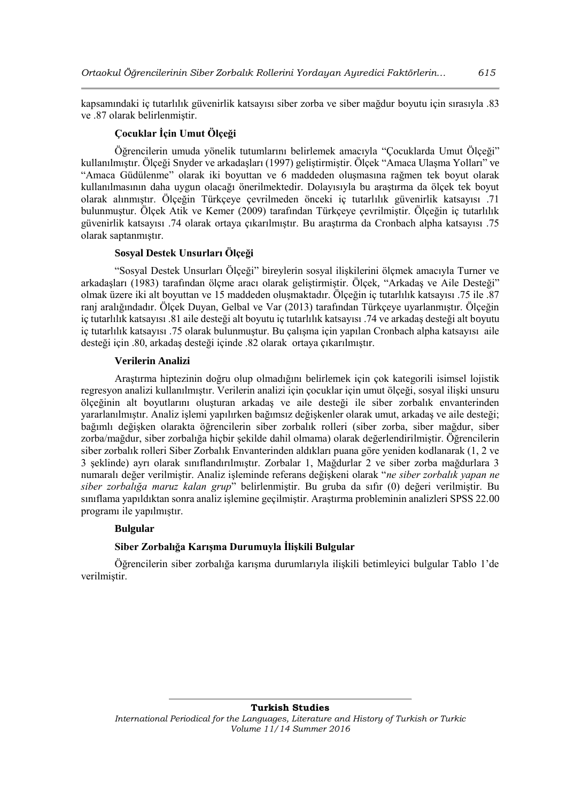kapsamındaki iç tutarlılık güvenirlik katsayısı siber zorba ve siber mağdur boyutu için sırasıyla .83 ve .87 olarak belirlenmiştir.

# **Çocuklar İçin Umut Ölçeği**

Öğrencilerin umuda yönelik tutumlarını belirlemek amacıyla "Çocuklarda Umut Ölçeği" kullanılmıştır. Ölçeği Snyder ve arkadaşları (1997) geliştirmiştir. Ölçek "Amaca Ulaşma Yolları" ve "Amaca Güdülenme" olarak iki boyuttan ve 6 maddeden oluşmasına rağmen tek boyut olarak kullanılmasının daha uygun olacağı önerilmektedir. Dolayısıyla bu araştırma da ölçek tek boyut olarak alınmıştır. Ölçeğin Türkçeye çevrilmeden önceki iç tutarlılık güvenirlik katsayısı .71 bulunmuştur. Ölçek Atik ve Kemer (2009) tarafından Türkçeye çevrilmiştir. Ölçeğin iç tutarlılık güvenirlik katsayısı .74 olarak ortaya çıkarılmıştır. Bu araştırma da Cronbach alpha katsayısı .75 olarak saptanmıştır.

# **Sosyal Destek Unsurları Ölçeği**

"Sosyal Destek Unsurları Ölçeği" bireylerin sosyal ilişkilerini ölçmek amacıyla Turner ve arkadaşları (1983) tarafından ölçme aracı olarak geliştirmiştir. Ölçek, "Arkadaş ve Aile Desteği" olmak üzere iki alt boyuttan ve 15 maddeden oluşmaktadır. Ölçeğin iç tutarlılık katsayısı .75 ile .87 ranj aralığındadır. Ölçek Duyan, Gelbal ve Var (2013) tarafından Türkçeye uyarlanmıştır. Ölçeğin iç tutarlılık katsayısı .81 aile desteği alt boyutu iç tutarlılık katsayısı .74 ve arkadaş desteği alt boyutu iç tutarlılık katsayısı .75 olarak bulunmuştur. Bu çalışma için yapılan Cronbach alpha katsayısı aile desteği için .80, arkadaş desteği içinde .82 olarak ortaya çıkarılmıştır.

### **Verilerin Analizi**

Araştırma hiptezinin doğru olup olmadığını belirlemek için çok kategorili isimsel lojistik regresyon analizi kullanılmıştır. Verilerin analizi için çocuklar için umut ölçeği, sosyal ilişki unsuru ölçeğinin alt boyutlarını oluşturan arkadaş ve aile desteği ile siber zorbalık envanterinden yararlanılmıştır. Analiz işlemi yapılırken bağımsız değişkenler olarak umut, arkadaş ve aile desteği; bağımlı değişken olarakta öğrencilerin siber zorbalık rolleri (siber zorba, siber mağdur, siber zorba/mağdur, siber zorbalığa hiçbir şekilde dahil olmama) olarak değerlendirilmiştir. Öğrencilerin siber zorbalık rolleri Siber Zorbalık Envanterinden aldıkları puana göre yeniden kodlanarak (1, 2 ve 3 şeklinde) ayrı olarak sınıflandırılmıştır. Zorbalar 1, Mağdurlar 2 ve siber zorba mağdurlara 3 numaralı değer verilmiştir. Analiz işleminde referans değişkeni olarak "*ne siber zorbalık yapan ne siber zorbalığa maruz kalan grup*" belirlenmiştir. Bu gruba da sıfır (0) değeri verilmiştir. Bu sınıflama yapıldıktan sonra analiz işlemine geçilmiştir. Araştırma probleminin analizleri SPSS 22.00 programı ile yapılmıştır.

# **Bulgular**

# **Siber Zorbalığa Karışma Durumuyla İlişkili Bulgular**

Öğrencilerin siber zorbalığa karışma durumlarıyla ilişkili betimleyici bulgular Tablo 1'de verilmiştir.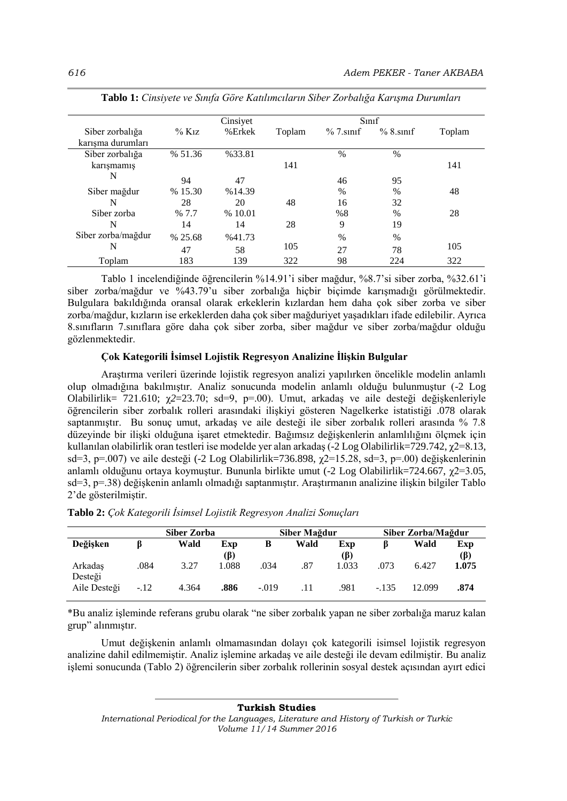|                    | Cinsiyet             |        |        | S <sub>1</sub> |               |        |
|--------------------|----------------------|--------|--------|----------------|---------------|--------|
| Siber zorbalığa    | $\%$ K <sub>1Z</sub> | %Erkek | Toplam | $\%$ 7.sinif   | $% 8$ sinif   | Toplam |
| karısma durumları  |                      |        |        |                |               |        |
| Siber zorbalığa    | % 51.36              | %33.81 |        | $\%$           | $\%$          |        |
| karışmamış         |                      |        | 141    |                |               | 141    |
| N                  | 94                   | 47     |        | 46             | 95            |        |
| Siber mağdur       | %15.30               | %14.39 |        | $\%$           | %             | 48     |
| N                  | 28                   | 20     | 48     | 16             | 32            |        |
| Siber zorba        | % 7.7                | %10.01 |        | %8             | $\%$          | 28     |
| N                  | 14                   | 14     | 28     | 9              | 19            |        |
| Siber zorba/mağdur | % 25.68              | %41.73 |        | $\frac{0}{0}$  | $\frac{0}{0}$ |        |
| N                  | 47                   | 58     | 105    | 27             | 78            | 105    |
| Toplam             | 183                  | 139    | 322    | 98             | 224           | 322    |

**Tablo 1:** *Cinsiyete ve Sınıfa Göre Katılımcıların Siber Zorbalığa Karışma Durumları*

 Tablo 1 incelendiğinde öğrencilerin %14.91'i siber mağdur, %8.7'si siber zorba, %32.61'i siber zorba/mağdur ve %43.79'u siber zorbalığa hiçbir biçimde karışmadığı görülmektedir. Bulgulara bakıldığında oransal olarak erkeklerin kızlardan hem daha çok siber zorba ve siber zorba/mağdur, kızların ise erkeklerden daha çok siber mağduriyet yaşadıkları ifade edilebilir. Ayrıca 8.sınıfların 7.sınıflara göre daha çok siber zorba, siber mağdur ve siber zorba/mağdur olduğu gözlenmektedir.

### **Çok Kategorili İsimsel Lojistik Regresyon Analizine İlişkin Bulgular**

Araştırma verileri üzerinde lojistik regresyon analizi yapılırken öncelikle modelin anlamlı olup olmadığına bakılmıştır. Analiz sonucunda modelin anlamlı olduğu bulunmuştur (-2 Log Olabilirlik= 721.610; χ*2*=23.70; sd=9, p=.00). Umut, arkadaş ve aile desteği değişkenleriyle öğrencilerin siber zorbalık rolleri arasındaki ilişkiyi gösteren Nagelkerke istatistiği .078 olarak saptanmıştır. Bu sonuç umut, arkadaş ve aile desteği ile siber zorbalık rolleri arasında % 7.8 düzeyinde bir ilişki olduğuna işaret etmektedir. Bağımsız değişkenlerin anlamlılığını ölçmek için kullanılan olabilirlik oran testleri ise modelde yer alan arkadaş (-2 Log Olabilirlik=729.742, χ2=8.13, sd=3, p=.007) ve aile desteği (-2 Log Olabilirlik=736.898,  $\chi$ 2=15.28, sd=3, p=.00) değişkenlerinin anlamlı olduğunu ortaya koymuştur. Bununla birlikte umut (-2 Log Olabilirlik=724.667,  $\gamma$ 2=3.05, sd=3, p=.38) değişkenin anlamlı olmadığı saptanmıştır. Araştırmanın analizine ilişkin bilgiler Tablo 2'de gösterilmiştir.

|                    | Siber Zorba |       |                  | Siber Mağdur |      |            | Siber Zorba/Mağdur |        |                  |
|--------------------|-------------|-------|------------------|--------------|------|------------|--------------------|--------|------------------|
| Değişken           |             | Wald  | Exp<br>$(\beta)$ | В            | Wald | Exp<br>(ß) |                    | Wald   | Exp<br>$(\beta)$ |
| Arkadas<br>Desteği | .084        | 3.27  | 1.088            | .034         | .87  | 1.033      | .073               | 6.427  | 1.075            |
| Aile Desteği       | $-.12$      | 4.364 | .886             | $-.019$      | .11  | .981       | $-.135$            | 12.099 | .874             |

**Tablo 2:** *Çok Kategorili İsimsel Lojistik Regresyon Analizi Sonuçları*

\*Bu analiz işleminde referans grubu olarak "ne siber zorbalık yapan ne siber zorbalığa maruz kalan grup" alınmıştır.

Umut değişkenin anlamlı olmamasından dolayı çok kategorili isimsel lojistik regresyon analizine dahil edilmemiştir. Analiz işlemine arkadaş ve aile desteği ile devam edilmiştir. Bu analiz işlemi sonucunda (Tablo 2) öğrencilerin siber zorbalık rollerinin sosyal destek açısından ayırt edici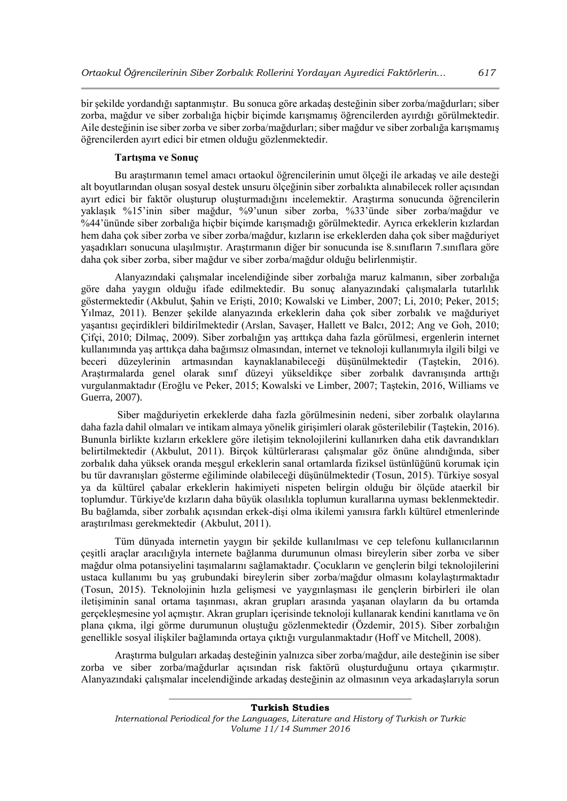bir şekilde yordandığı saptanmıştır. Bu sonuca göre arkadaş desteğinin siber zorba/mağdurları; siber zorba, mağdur ve siber zorbalığa hiçbir biçimde karışmamış öğrencilerden ayırdığı görülmektedir. Aile desteğinin ise siber zorba ve siber zorba/mağdurları; siber mağdur ve siber zorbalığa karışmamış öğrencilerden ayırt edici bir etmen olduğu gözlenmektedir.

# **Tartışma ve Sonuç**

Bu araştırmanın temel amacı ortaokul öğrencilerinin umut ölçeği ile arkadaş ve aile desteği alt boyutlarından oluşan sosyal destek unsuru ölçeğinin siber zorbalıkta alınabilecek roller açısından ayırt edici bir faktör oluşturup oluşturmadığını incelemektir. Araştırma sonucunda öğrencilerin yaklaşık %15'inin siber mağdur, %9'unun siber zorba, %33'ünde siber zorba/mağdur ve %44'ününde siber zorbalığa hiçbir biçimde karışmadığı görülmektedir. Ayrıca erkeklerin kızlardan hem daha çok siber zorba ve siber zorba/mağdur, kızların ise erkeklerden daha çok siber mağduriyet yaşadıkları sonucuna ulaşılmıştır. Araştırmanın diğer bir sonucunda ise 8.sınıfların 7.sınıflara göre daha çok siber zorba, siber mağdur ve siber zorba/mağdur olduğu belirlenmiştir.

Alanyazındaki çalışmalar incelendiğinde siber zorbalığa maruz kalmanın, siber zorbalığa göre daha yaygın olduğu ifade edilmektedir. Bu sonuç alanyazındaki çalışmalarla tutarlılık göstermektedir (Akbulut, Şahin ve Erişti, 2010; Kowalski ve Limber, 2007; Li, 2010; Peker, 2015; Yılmaz, 2011). Benzer şekilde alanyazında erkeklerin daha çok siber zorbalık ve mağduriyet yaşantısı geçirdikleri bildirilmektedir (Arslan, Savaşer, Hallett ve Balcı, 2012; Ang ve Goh, 2010; Çifçi, 2010; Dilmaç, 2009). Siber zorbalığın yaş arttıkça daha fazla görülmesi, ergenlerin internet kullanımında yaş arttıkça daha bağımsız olmasından, internet ve teknoloji kullanımıyla ilgili bilgi ve beceri düzeylerinin artmasından kaynaklanabileceği düşünülmektedir (Taştekin, 2016). Araştırmalarda genel olarak sınıf düzeyi yükseldikçe siber zorbalık davranışında arttığı vurgulanmaktadır (Eroğlu ve Peker, 2015; Kowalski ve Limber, 2007; Taştekin, 2016, Williams ve Guerra, 2007).

Siber mağduriyetin erkeklerde daha fazla görülmesinin nedeni, siber zorbalık olaylarına daha fazla dahil olmaları ve intikam almaya yönelik girişimleri olarak gösterilebilir (Taştekin, 2016). Bununla birlikte kızların erkeklere göre iletişim teknolojilerini kullanırken daha etik davrandıkları belirtilmektedir (Akbulut, 2011). Birçok kültürlerarası çalışmalar göz önüne alındığında, siber zorbalık daha yüksek oranda meşgul erkeklerin sanal ortamlarda fiziksel üstünlüğünü korumak için bu tür davranışları gösterme eğiliminde olabileceği düşünülmektedir (Tosun, 2015). Türkiye sosyal ya da kültürel çabalar erkeklerin hakimiyeti nispeten belirgin olduğu bir ölçüde ataerkil bir toplumdur. Türkiye'de kızların daha büyük olasılıkla toplumun kurallarına uyması beklenmektedir. Bu bağlamda, siber zorbalık açısından erkek-dişi olma ikilemi yanısıra farklı kültürel etmenlerinde araştırılması gerekmektedir (Akbulut, 2011).

Tüm dünyada internetin yaygın bir şekilde kullanılması ve cep telefonu kullanıcılarının çeşitli araçlar aracılığıyla internete bağlanma durumunun olması bireylerin siber zorba ve siber mağdur olma potansiyelini taşımalarını sağlamaktadır. Çocukların ve gençlerin bilgi teknolojilerini ustaca kullanımı bu yaş grubundaki bireylerin siber zorba/mağdur olmasını kolaylaştırmaktadır (Tosun, 2015). Teknolojinin hızla gelişmesi ve yaygınlaşması ile gençlerin birbirleri ile olan iletişiminin sanal ortama taşınması, akran grupları arasında yaşanan olayların da bu ortamda gerçekleşmesine yol açmıştır. Akran grupları içerisinde teknoloji kullanarak kendini kanıtlama ve ön plana çıkma, ilgi görme durumunun oluştuğu gözlenmektedir (Özdemir, 2015). Siber zorbalığın genellikle sosyal ilişkiler bağlamında ortaya çıktığı vurgulanmaktadır (Hoff ve Mitchell, 2008).

Araştırma bulguları arkadaş desteğinin yalnızca siber zorba/mağdur, aile desteğinin ise siber zorba ve siber zorba/mağdurlar açısından risk faktörü oluşturduğunu ortaya çıkarmıştır. Alanyazındaki çalışmalar incelendiğinde arkadaş desteğinin az olmasının veya arkadaşlarıyla sorun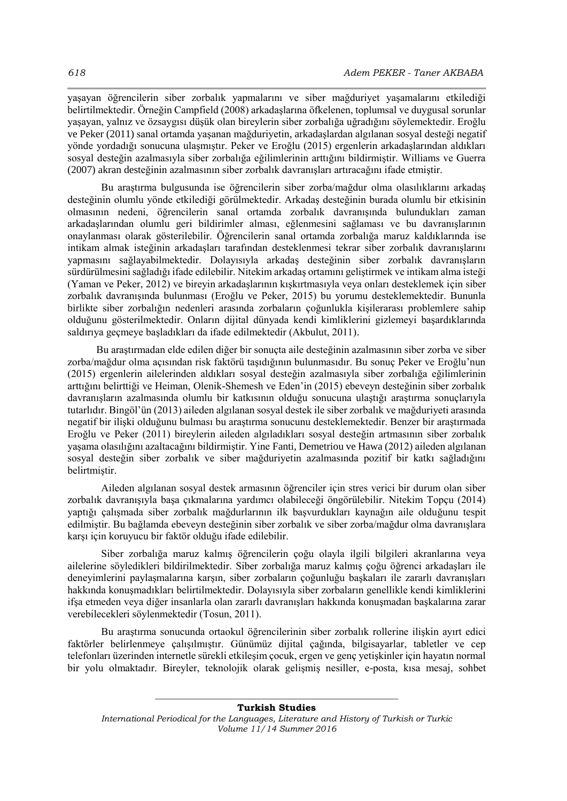yaşayan öğrencilerin siber zorbalık yapmalarını ve siber mağduriyet yaşamalarını etkilediği belirtilmektedir. Örneğin Campfield (2008) arkadaşlarına öfkelenen, toplumsal ve duygusal sorunlar yaşayan, yalnız ve özsaygısı düşük olan bireylerin siber zorbalığa uğradığını söylemektedir. Eroğlu ve Peker (2011) sanal ortamda yaşanan mağduriyetin, arkadaşlardan algılanan sosyal desteği negatif yönde yordadığı sonucuna ulaşmıştır. Peker ve Eroğlu (2015) ergenlerin arkadaşlarından aldıkları sosyal desteğin azalmasıyla siber zorbalığa eğilimlerinin arttığını bildirmiştir. Williams ve Guerra (2007) akran desteğinin azalmasının siber zorbalık davranışları artıracağını ifade etmiştir.

Bu araştırma bulgusunda ise öğrencilerin siber zorba/mağdur olma olasılıklarını arkadaş desteğinin olumlu yönde etkilediği görülmektedir. Arkadaş desteğinin burada olumlu bir etkisinin olmasının nedeni, öğrencilerin sanal ortamda zorbalık davranışında bulundukları zaman arkadaşlarından olumlu geri bildirimler alması, eğlenmesini sağlaması ve bu davranışlarının onaylanması olarak gösterilebilir. Öğrencilerin sanal ortamda zorbalığa maruz kaldıklarında ise intikam almak isteğinin arkadaşları tarafından desteklenmesi tekrar siber zorbalık davranışlarını yapmasını sağlayabilmektedir. Dolayısıyla arkadaş desteğinin siber zorbalık davranışların sürdürülmesini sağladığı ifade edilebilir. Nitekim arkadaş ortamını geliştirmek ve intikam alma isteği (Yaman ve Peker, 2012) ve bireyin arkadaşlarının kışkırtmasıyla veya onları desteklemek için siber zorbalık davranışında bulunması (Eroğlu ve Peker, 2015) bu yorumu desteklemektedir. Bununla birlikte siber zorbalığın nedenleri arasında zorbaların çoğunlukla kişilerarası problemlere sahip olduğunu gösterilmektedir. Onların dijital dünyada kendi kimliklerini gizlemeyi başardıklarında saldırıya geçmeye başladıkları da ifade edilmektedir (Akbulut, 2011).

 Bu araştırmadan elde edilen diğer bir sonuçta aile desteğinin azalmasının siber zorba ve siber zorba/mağdur olma açısından risk faktörü taşıdığının bulunmasıdır. Bu sonuç Peker ve Eroğlu'nun (2015) ergenlerin ailelerinden aldıkları sosyal desteğin azalmasıyla siber zorbalığa eğilimlerinin arttığını belirttiği ve Heiman, Olenik-Shemesh ve Eden'in (2015) ebeveyn desteğinin siber zorbalık davranışların azalmasında olumlu bir katkısının olduğu sonucuna ulaştığı araştırma sonuçlarıyla tutarlıdır. Bingöl'ün (2013) aileden algılanan sosyal destek ile siber zorbalık ve mağduriyeti arasında negatif bir ilişki olduğunu bulması bu araştırma sonucunu desteklemektedir. Benzer bir araştırmada Eroğlu ve Peker (2011) bireylerin aileden algıladıkları sosyal desteğin artmasının siber zorbalık yaşama olasılığını azaltacağını bildirmiştir. Yine Fanti, Demetriou ve Hawa (2012) aileden algılanan sosyal desteğin siber zorbalık ve siber mağduriyetin azalmasında pozitif bir katkı sağladığını belirtmiştir.

Aileden algılanan sosyal destek armasının öğrenciler için stres verici bir durum olan siber zorbalık davranışıyla başa çıkmalarına yardımcı olabileceği öngörülebilir. Nitekim Topçu (2014) yaptığı çalışmada siber zorbalık mağdurlarının ilk başvurdukları kaynağın aile olduğunu tespit edilmiştir. Bu bağlamda ebeveyn desteğinin siber zorbalık ve siber zorba/mağdur olma davranışlara karşı için koruyucu bir faktör olduğu ifade edilebilir.

Siber zorbalığa maruz kalmış öğrencilerin çoğu olayla ilgili bilgileri akranlarına veya ailelerine söyledikleri bildirilmektedir. Siber zorbalığa maruz kalmış çoğu öğrenci arkadaşları ile deneyimlerini paylaşmalarına karşın, siber zorbaların çoğunluğu başkaları ile zararlı davranışları hakkında konuşmadıkları belirtilmektedir. Dolayısıyla siber zorbaların genellikle kendi kimliklerini ifşa etmeden veya diğer insanlarla olan zararlı davranışları hakkında konuşmadan başkalarına zarar verebilecekleri söylenmektedir (Tosun, 2011).

Bu araştırma sonucunda ortaokul öğrencilerinin siber zorbalık rollerine ilişkin ayırt edici faktörler belirlenmeye çalışılmıştır. Günümüz dijital çağında, bilgisayarlar, tabletler ve cep telefonları üzerinden internetle sürekli etkileşim çocuk, ergen ve genç yetişkinler için hayatın normal bir yolu olmaktadır. Bireyler, teknolojik olarak gelişmiş nesiller, e-posta, kısa mesaj, sohbet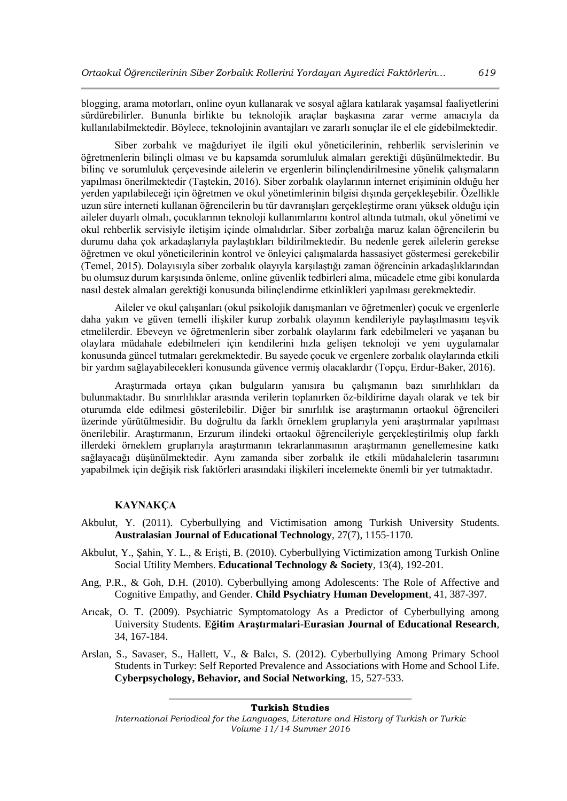blogging, arama motorları, online oyun kullanarak ve sosyal ağlara katılarak yaşamsal faaliyetlerini sürdürebilirler. Bununla birlikte bu teknolojik araçlar başkasına zarar verme amacıyla da kullanılabilmektedir. Böylece, teknolojinin avantajları ve zararlı sonuçlar ile el ele gidebilmektedir.

Siber zorbalık ve mağduriyet ile ilgili okul yöneticilerinin, rehberlik servislerinin ve öğretmenlerin bilinçli olması ve bu kapsamda sorumluluk almaları gerektiği düşünülmektedir. Bu bilinç ve sorumluluk çerçevesinde ailelerin ve ergenlerin bilinçlendirilmesine yönelik çalışmaların yapılması önerilmektedir (Taştekin, 2016). Siber zorbalık olaylarının internet erişiminin olduğu her yerden yapılabileceği için öğretmen ve okul yönetimlerinin bilgisi dışında gerçekleşebilir. Özellikle uzun süre interneti kullanan öğrencilerin bu tür davranışları gerçekleştirme oranı yüksek olduğu için aileler duyarlı olmalı, çocuklarının teknoloji kullanımlarını kontrol altında tutmalı, okul yönetimi ve okul rehberlik servisiyle iletişim içinde olmalıdırlar. Siber zorbalığa maruz kalan öğrencilerin bu durumu daha çok arkadaşlarıyla paylaştıkları bildirilmektedir. Bu nedenle gerek ailelerin gerekse öğretmen ve okul yöneticilerinin kontrol ve önleyici çalışmalarda hassasiyet göstermesi gerekebilir (Temel, 2015). Dolayısıyla siber zorbalık olayıyla karşılaştığı zaman öğrencinin arkadaşlıklarından bu olumsuz durum karşısında önleme, online güvenlik tedbirleri alma, mücadele etme gibi konularda nasıl destek almaları gerektiği konusunda bilinçlendirme etkinlikleri yapılması gerekmektedir.

Aileler ve okul çalışanları (okul psikolojik danışmanları ve öğretmenler) çocuk ve ergenlerle daha yakın ve güven temelli ilişkiler kurup zorbalık olayının kendileriyle paylaşılmasını teşvik etmelilerdir. Ebeveyn ve öğretmenlerin siber zorbalık olaylarını fark edebilmeleri ve yaşanan bu olaylara müdahale edebilmeleri için kendilerini hızla gelişen teknoloji ve yeni uygulamalar konusunda güncel tutmaları gerekmektedir. Bu sayede çocuk ve ergenlere zorbalık olaylarında etkili bir yardım sağlayabilecekleri konusunda güvence vermiş olacaklardır (Topçu, Erdur-Baker, 2016).

Araştırmada ortaya çıkan bulguların yanısıra bu çalışmanın bazı sınırlılıkları da bulunmaktadır. Bu sınırlılıklar arasında verilerin toplanırken öz-bildirime dayalı olarak ve tek bir oturumda elde edilmesi gösterilebilir. Diğer bir sınırlılık ise araştırmanın ortaokul öğrencileri üzerinde yürütülmesidir. Bu doğrultu da farklı örneklem gruplarıyla yeni araştırmalar yapılması önerilebilir. Araştırmanın, Erzurum ilindeki ortaokul öğrencileriyle gerçekleştirilmiş olup farklı illerdeki örneklem gruplarıyla araştırmanın tekrarlanmasının araştırmanın genellemesine katkı sağlayacağı düşünülmektedir. Aynı zamanda siber zorbalık ile etkili müdahalelerin tasarımını yapabilmek için değişik risk faktörleri arasındaki ilişkileri incelemekte önemli bir yer tutmaktadır.

# **KAYNAKÇA**

- Akbulut, Y. (2011). Cyberbullying and Victimisation among Turkish University Students. **Australasian Journal of Educational Technology**, 27(7), 1155-1170.
- Akbulut, Y., Şahin, Y. L., & Erişti, B. (2010). Cyberbullying Victimization among Turkish Online Social Utility Members. **Educational Technology & Society**, 13(4), 192-201.
- Ang, P.R., & Goh, D.H. (2010). Cyberbullying among Adolescents: The Role of Affective and Cognitive Empathy, and Gender. **Child Psychiatry Human Development**, 41, 387-397.
- Arıcak, O. T. (2009). Psychiatric Symptomatology As a Predictor of Cyberbullying among University Students. **Eğitim Araştırmalari-Eurasian Journal of Educational Research**, 34, 167-184.
- Arslan, S., Savaser, S., Hallett, V., & Balcı, S. (2012). Cyberbullying Among Primary School Students in Turkey: Self Reported Prevalence and Associations with Home and School Life. **Cyberpsychology, Behavior, and Social Networking**, 15*,* 527-533.

*International Periodical for the Languages, Literature and History of Turkish or Turkic Volume 11/14 Summer 2016*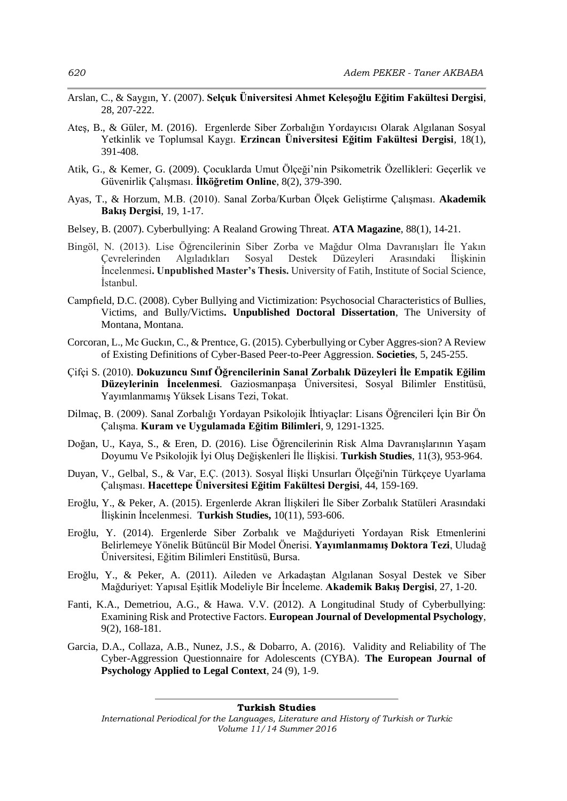- Arslan, C., & Saygın, Y. (2007). **Selçuk Üniversitesi Ahmet Keleşoğlu Eğitim Fakültesi Dergisi**, 28, 207-222.
- Ateş, B., & Güler, M. (2016). Ergenlerde Siber Zorbalığın Yordayıcısı Olarak Algılanan Sosyal Yetkinlik ve Toplumsal Kaygı. **Erzincan Üniversitesi Eğitim Fakültesi Dergisi***,* 18(1), 391-408.
- Atik, G., & Kemer, G. (2009). Çocuklarda Umut Ölçeği'nin Psikometrik Özellikleri: Geçerlik ve Güvenirlik Çalışması. **İlköğretim Online**, 8(2), 379-390.
- Ayas, T., & Horzum, M.B. (2010). Sanal Zorba/Kurban Ölçek Geliştirme Çalışması. **Akademik Bakış Dergisi**, 19, 1-17.
- Belsey, B. (2007). Cyberbullying: A Realand Growing Threat. **ATA Magazine**, 88(1), 14-21.
- Bingöl, N. (2013). Lise Öğrencilerinin Siber Zorba ve Mağdur Olma Davranışları İle Yakın Çevrelerinden Algıladıkları Sosyal Destek Düzeyleri Arasındaki İlişkinin İncelenmesi**. Unpublished Master's Thesis.** University of Fatih, Institute of Social Science, İstanbul.
- Campfıeld, D.C. (2008). Cyber Bullying and Victimization: Psychosocial Characteristics of Bullies, Victims, and Bully/Victims**. Unpublished Doctoral Dissertation**, The University of Montana, Montana.
- Corcoran, L., Mc Guckın, C., & Prentıce, G. (2015). Cyberbullying or Cyber Aggres-sion? A Review of Existing Definitions of Cyber-Based Peer-to-Peer Aggression. **Societies**, 5, 245-255.
- Çifçi S. (2010). **Dokuzuncu Sınıf Öğrencilerinin Sanal Zorbalık Düzeyleri İle Empatik Eğilim Düzeylerinin İncelenmesi***.* Gaziosmanpaşa Üniversitesi, Sosyal Bilimler Enstitüsü, Yayımlanmamış Yüksek Lisans Tezi, Tokat.
- Dilmaç, B. (2009). Sanal Zorbalığı Yordayan Psikolojik İhtiyaçlar: Lisans Öğrencileri İçin Bir Ön Çalışma. **Kuram ve Uygulamada Eğitim Bilimleri**, 9*,* 1291-1325.
- Doğan, U., Kaya, S., & Eren, D. (2016). Lise Öğrencilerinin Risk Alma Davranışlarının Yaşam Doyumu Ve Psikolojik İyi Oluş Değişkenleri İle İlişkisi. **Turkish Studies**, 11(3), 953-964.
- Duyan, V., Gelbal, S., & Var, E.Ç. (2013). Sosyal İlişki Unsurları Ölçeği'nin Türkçeye Uyarlama Çalışması. **Hacettepe Üniversitesi Eğitim Fakültesi Dergisi**, 44, 159-169.
- Eroğlu, Y., & Peker, A. (2015). Ergenlerde Akran İlişkileri İle Siber Zorbalık Statüleri Arasındaki İlişkinin İncelenmesi. **Turkish Studies,** 10(11), 593-606.
- Eroğlu, Y. (2014). Ergenlerde Siber Zorbalık ve Mağduriyeti Yordayan Risk Etmenlerini Belirlemeye Yönelik Bütüncül Bir Model Önerisi*.* **Yayımlanmamış Doktora Tezi**, Uludağ Üniversitesi, Eğitim Bilimleri Enstitüsü, Bursa.
- Eroğlu, Y., & Peker, A. (2011). Aileden ve Arkadaştan Algılanan Sosyal Destek ve Siber Mağduriyet: Yapısal Eşitlik Modeliyle Bir İnceleme. **Akademik Bakış Dergisi**, 27, 1-20.
- Fanti, K.A., Demetriou, A.G., & Hawa. V.V. (2012). A Longitudinal Study of Cyberbullying: Examining Risk and Protective Factors. **European Journal of Developmental Psychology**, 9(2), 168-181.
- Garcia, D.A., Collaza, A.B., Nunez, J.S., & Dobarro, A. (2016). Validity and Reliability of The Cyber-Aggression Questionnaire for Adolescents (CYBA). **The European Journal of Psychology Applied to Legal Context**, 24 (9), 1-9.

*International Periodical for the Languages, Literature and History of Turkish or Turkic Volume 11/14 Summer 2016*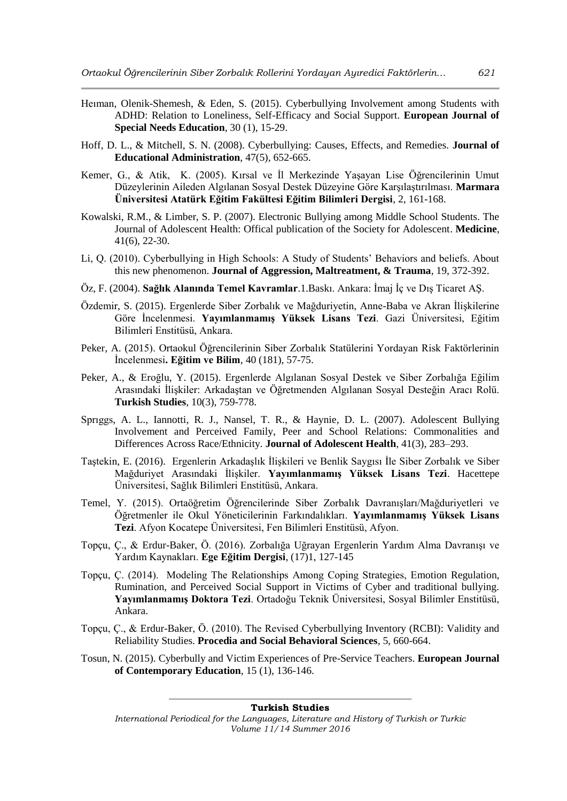- Heıman, Olenik-Shemesh, & Eden, S. (2015). Cyberbullying Involvement among Students with ADHD: Relation to Loneliness, Self-Efficacy and Social Support. **European Journal of Special Needs Education**, 30 (1), 15-29.
- Hoff, D. L., & Mitchell, S. N. (2008). Cyberbullying: Causes, Effects, and Remedies. **Journal of Educational Administration**, 47(5), 652-665.
- Kemer, G., & Atik, K. (2005). Kırsal ve İl Merkezinde Yaşayan Lise Öğrencilerinin Umut Düzeylerinin Aileden Algılanan Sosyal Destek Düzeyine Göre Karşılaştırılması. **Marmara Üniversitesi Atatürk Eğitim Fakültesi Eğitim Bilimleri Dergisi**, 2, 161-168.
- Kowalski, R.M., & Limber, S. P. (2007). Electronic Bullying among Middle School Students. The Journal of Adolescent Health: Offical publication of the Society for Adolescent. **Medicine**, 41(6), 22-30.
- Li, Q. (2010). Cyberbullying in High Schools: A Study of Students' Behaviors and beliefs. About this new phenomenon. **Journal of Aggression, Maltreatment, & Trauma**, 19, 372-392.
- Öz, F. (2004). **Sağlık Alanında Temel Kavramlar**.1.Baskı. Ankara: İmaj İç ve Dış Ticaret AŞ.
- Özdemir, S. (2015). Ergenlerde Siber Zorbalık ve Mağduriyetin, Anne-Baba ve Akran İlişkilerine Göre İncelenmesi. **Yayımlanmamış Yüksek Lisans Tezi**. Gazi Üniversitesi, Eğitim Bilimleri Enstitüsü, Ankara.
- Peker, A. (2015). Ortaokul Öğrencilerinin Siber Zorbalık Statülerini Yordayan Risk Faktörlerinin İncelenmesi**. Eğitim ve Bilim**, 40 (181), 57-75.
- Peker, A., & Eroğlu, Y. (2015). Ergenlerde Algılanan Sosyal Destek ve Siber Zorbalığa Eğilim Arasındaki İlişkiler: Arkadaştan ve Öğretmenden Algılanan Sosyal Desteğin Aracı Rolü. **Turkish Studies**, 10(3), 759-778.
- Sprıggs, A. L., Iannotti, R. J., Nansel, T. R., & Haynie, D. L. (2007). Adolescent Bullying Involvement and Perceived Family, Peer and School Relations: Commonalities and Differences Across Race/Ethnicity. **Journal of Adolescent Health**, 41(3), 283–293.
- Taştekin, E. (2016). Ergenlerin Arkadaşlık İlişkileri ve Benlik Saygısı İle Siber Zorbalık ve Siber Mağduriyet Arasındaki İlişkiler. **Yayımlanmamış Yüksek Lisans Tezi**. Hacettepe Üniversitesi, Sağlık Bilimleri Enstitüsü, Ankara.
- Temel, Y. (2015). Ortaöğretim Öğrencilerinde Siber Zorbalık Davranışları/Mağduriyetleri ve Öğretmenler ile Okul Yöneticilerinin Farkındalıkları. **Yayımlanmamış Yüksek Lisans Tezi**. Afyon Kocatepe Üniversitesi, Fen Bilimleri Enstitüsü, Afyon.
- Topçu, Ç., & Erdur-Baker, Ö. (2016). Zorbalığa Uğrayan Ergenlerin Yardım Alma Davranışı ve Yardım Kaynakları. **Ege Eğitim Dergisi**, (17)1, 127-145
- Topçu, Ç. (2014). Modeling The Relationships Among Coping Strategies, Emotion Regulation, Rumination, and Perceived Social Support in Victims of Cyber and traditional bullying. **Yayımlanmamış Doktora Tezi**. Ortadoğu Teknik Üniversitesi, Sosyal Bilimler Enstitüsü, Ankara.
- Topçu, Ç., & Erdur-Baker, Ö. (2010). The Revised Cyberbullying Inventory (RCBI): Validity and Reliability Studies. **Procedia and Social Behavioral Sciences***,* 5, 660-664.
- Tosun, N. (2015). Cyberbully and Victim Experiences of Pre-Service Teachers. **European Journal of Contemporary Education**, 15 (1), 136-146.

*International Periodical for the Languages, Literature and History of Turkish or Turkic Volume 11/14 Summer 2016*